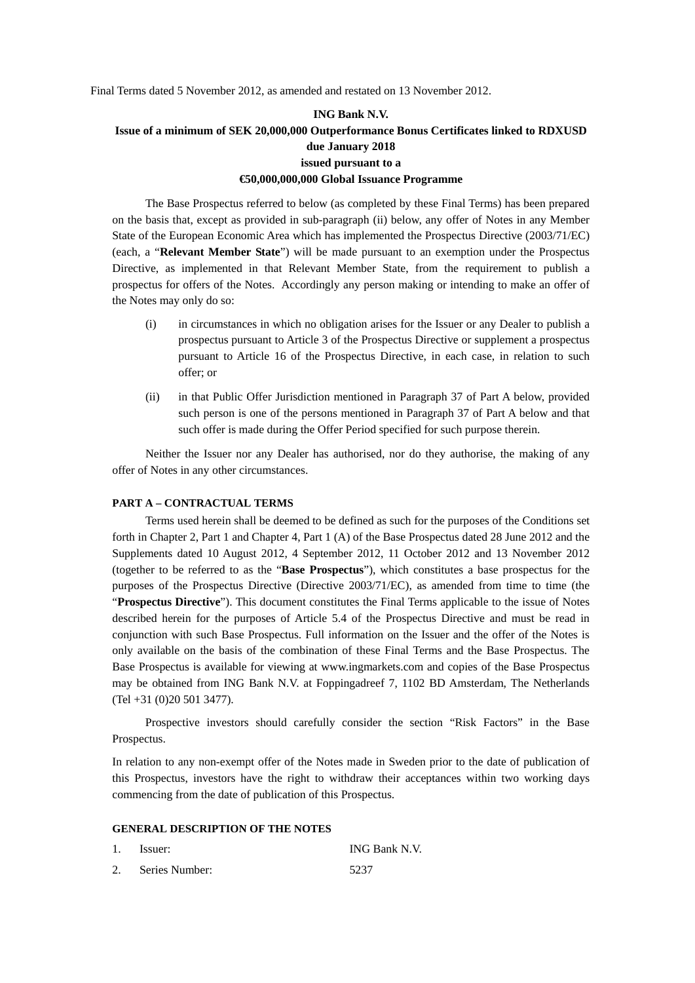Final Terms dated 5 November 2012, as amended and restated on 13 November 2012.

# **ING Bank N.V. Issue of a minimum of SEK 20,000,000 Outperformance Bonus Certificates linked to RDXUSD due January 2018 issued pursuant to a €50,000,000,000 Global Issuance Programme**

The Base Prospectus referred to below (as completed by these Final Terms) has been prepared on the basis that, except as provided in sub-paragraph (ii) below, any offer of Notes in any Member State of the European Economic Area which has implemented the Prospectus Directive (2003/71/EC) (each, a "**Relevant Member State**") will be made pursuant to an exemption under the Prospectus Directive, as implemented in that Relevant Member State, from the requirement to publish a prospectus for offers of the Notes. Accordingly any person making or intending to make an offer of the Notes may only do so:

- (i) in circumstances in which no obligation arises for the Issuer or any Dealer to publish a prospectus pursuant to Article 3 of the Prospectus Directive or supplement a prospectus pursuant to Article 16 of the Prospectus Directive, in each case, in relation to such offer; or
- (ii) in that Public Offer Jurisdiction mentioned in Paragraph 37 of Part A below, provided such person is one of the persons mentioned in Paragraph 37 of Part A below and that such offer is made during the Offer Period specified for such purpose therein.

Neither the Issuer nor any Dealer has authorised, nor do they authorise, the making of any offer of Notes in any other circumstances.

#### **PART A – CONTRACTUAL TERMS**

Terms used herein shall be deemed to be defined as such for the purposes of the Conditions set forth in Chapter 2, Part 1 and Chapter 4, Part 1 (A) of the Base Prospectus dated 28 June 2012 and the Supplements dated 10 August 2012, 4 September 2012, 11 October 2012 and 13 November 2012 (together to be referred to as the "**Base Prospectus**"), which constitutes a base prospectus for the purposes of the Prospectus Directive (Directive 2003/71/EC), as amended from time to time (the "**Prospectus Directive**"). This document constitutes the Final Terms applicable to the issue of Notes described herein for the purposes of Article 5.4 of the Prospectus Directive and must be read in conjunction with such Base Prospectus. Full information on the Issuer and the offer of the Notes is only available on the basis of the combination of these Final Terms and the Base Prospectus. The Base Prospectus is available for viewing at www.ingmarkets.com and copies of the Base Prospectus may be obtained from ING Bank N.V. at Foppingadreef 7, 1102 BD Amsterdam, The Netherlands (Tel +31 (0)20 501 3477).

Prospective investors should carefully consider the section "Risk Factors" in the Base Prospectus.

In relation to any non-exempt offer of the Notes made in Sweden prior to the date of publication of this Prospectus, investors have the right to withdraw their acceptances within two working days commencing from the date of publication of this Prospectus.

### **GENERAL DESCRIPTION OF THE NOTES**

| Issuer:        | ING Bank N.V. |
|----------------|---------------|
| Series Number: | 5237          |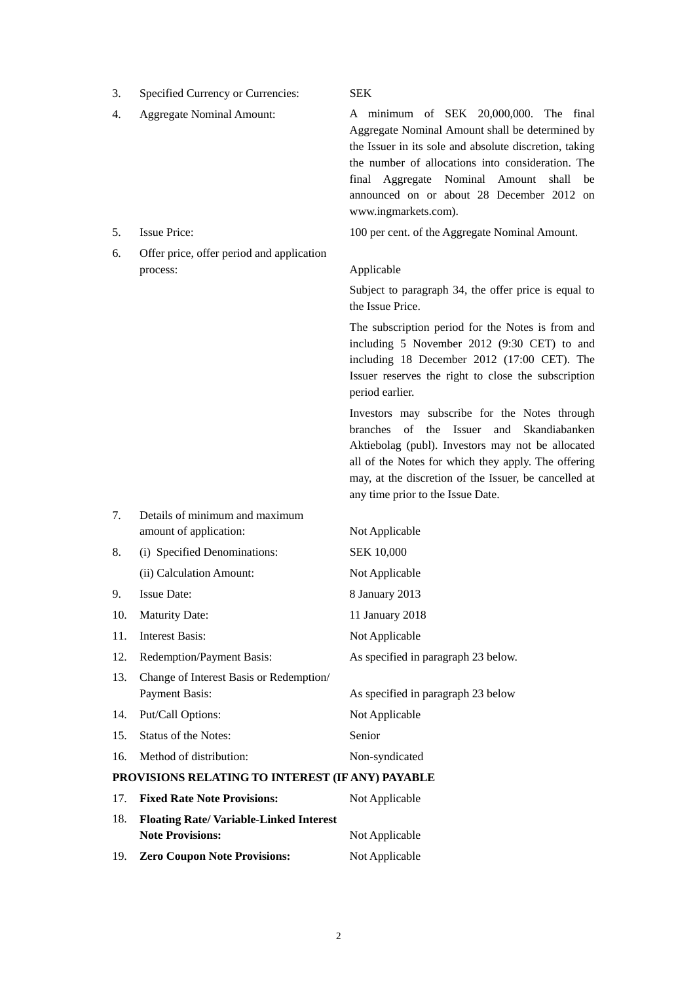- 3. Specified Currency or Currencies: SEK
- 

- 
- 6. Offer price, offer period and application process: Applicable

7. Details of minimum and maximum

4. Aggregate Nominal Amount: A minimum of SEK 20,000,000. The final Aggregate Nominal Amount shall be determined by the Issuer in its sole and absolute discretion, taking the number of allocations into consideration. The final Aggregate Nominal Amount shall be announced on or about 28 December 2012 on www.ingmarkets.com).

5. Issue Price: 100 per cent. of the Aggregate Nominal Amount.

Subject to paragraph 34, the offer price is equal to the Issue Price.

The subscription period for the Notes is from and including 5 November 2012 (9:30 CET) to and including 18 December 2012 (17:00 CET). The Issuer reserves the right to close the subscription period earlier.

Investors may subscribe for the Notes through branches of the Issuer and Skandiabanken Aktiebolag (publ). Investors may not be allocated all of the Notes for which they apply. The offering may, at the discretion of the Issuer, be cancelled at any time prior to the Issue Date.

|                                                  | amount of application:                  | Not Applicable                      |
|--------------------------------------------------|-----------------------------------------|-------------------------------------|
| 8.                                               | (i) Specified Denominations:            | <b>SEK 10,000</b>                   |
|                                                  | (ii) Calculation Amount:                | Not Applicable                      |
| 9.                                               | <b>Issue Date:</b>                      | 8 January 2013                      |
| 10.                                              | <b>Maturity Date:</b>                   | 11 January 2018                     |
| 11.                                              | Interest Basis:                         | Not Applicable                      |
| 12.                                              | Redemption/Payment Basis:               | As specified in paragraph 23 below. |
| 13.                                              | Change of Interest Basis or Redemption/ |                                     |
|                                                  | Payment Basis:                          | As specified in paragraph 23 below  |
| 14.                                              | Put/Call Options:                       | Not Applicable                      |
| 15.                                              | Status of the Notes:                    | Senior                              |
| 16.                                              | Method of distribution:                 | Non-syndicated                      |
| PROVISIONS RELATING TO INTEREST (IF ANY) PAYABLE |                                         |                                     |

|                                                      | 17. Fixed Rate Note Provisions:     | Not Applicable |
|------------------------------------------------------|-------------------------------------|----------------|
| <b>Floating Rate/Variable-Linked Interest</b><br>18. |                                     |                |
|                                                      | <b>Note Provisions:</b>             | Not Applicable |
| 19.                                                  | <b>Zero Coupon Note Provisions:</b> | Not Applicable |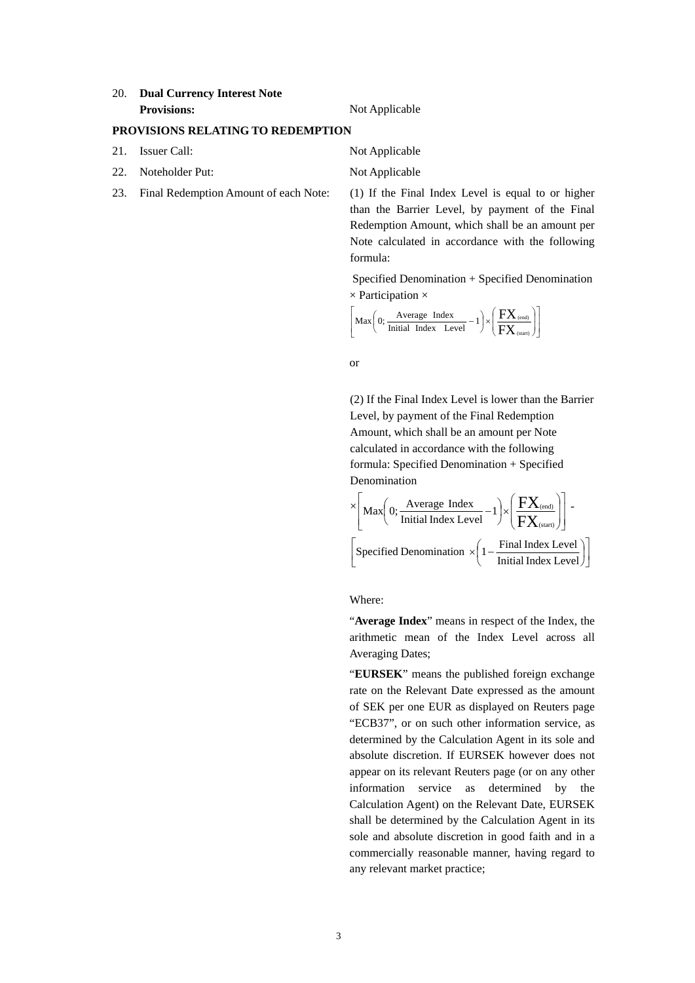## 20. **Dual Currency Interest Note Provisions:** Not Applicable

## **PROVISIONS RELATING TO REDEMPTION**

- 21. Issuer Call: Not Applicable
- 22. Noteholder Put: Not Applicable
- 

23. Final Redemption Amount of each Note: (1) If the Final Index Level is equal to or higher than the Barrier Level, by payment of the Final Redemption Amount, which shall be an amount per Note calculated in accordance with the following formula:

> Specified Denomination + Specified Denomination  $\times$  Participation  $\times$

$$
\left[ \text{Max} \bigg( 0; \frac{\text{Average Index}}{\text{Initial Index Level}} - 1 \bigg) \times \left( \frac{\text{FX}_{\text{(end)}}}{\text{FX}_{\text{(start)}}} \right) \right]
$$

or

(2) If the Final Index Level is lower than the Barrier Level, by payment of the Final Redemption Amount, which shall be an amount per Note calculated in accordance with the following formula: Specified Denomination + Specified Denomination

$$
\times \Bigg[\text{Max}\Big(0;\frac{\text{Average Index}}{\text{Initial Index Level}}-1\Big) \times \Big(\frac{FX_{\text{(end)}}}{FX_{\text{(start)}}}\Big)\Bigg] - \\ \Bigg[\text{Specificed Denominator } \times \Big(1-\frac{\text{Final Index Level}}{\text{Initial Index Level}}\Big)\Bigg]
$$

Where:

"**Average Index**" means in respect of the Index, the arithmetic mean of the Index Level across all Averaging Dates;

"**EURSEK**" means the published foreign exchange rate on the Relevant Date expressed as the amount of SEK per one EUR as displayed on Reuters page "ECB37", or on such other information service, as determined by the Calculation Agent in its sole and absolute discretion. If EURSEK however does not appear on its relevant Reuters page (or on any other information service as determined by the Calculation Agent) on the Relevant Date, EURSEK shall be determined by the Calculation Agent in its sole and absolute discretion in good faith and in a commercially reasonable manner, having regard to any relevant market practice;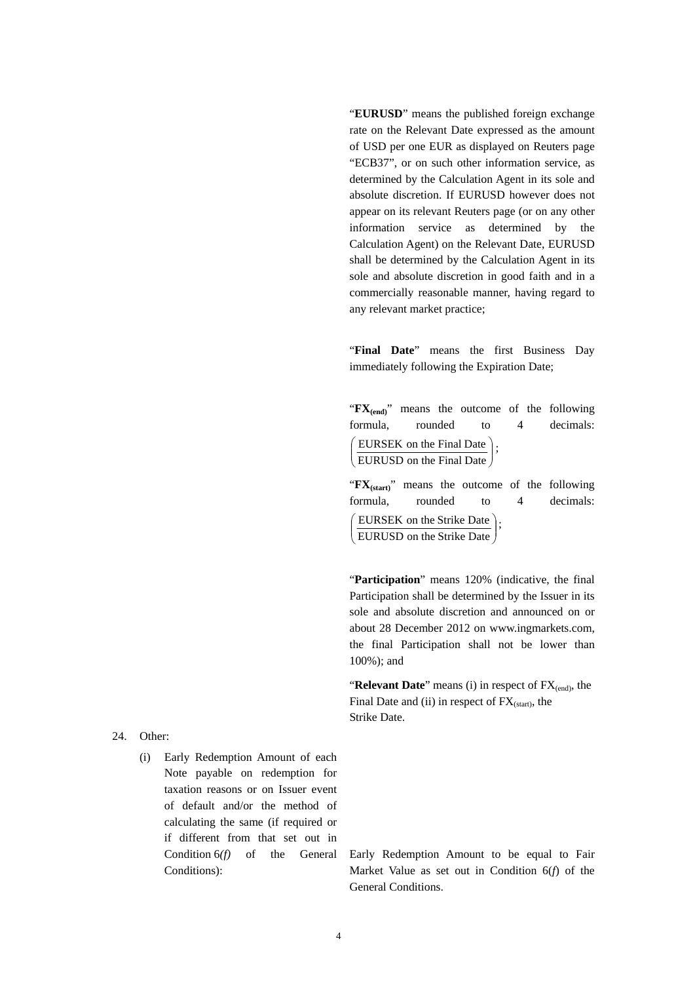"**EURUSD**" means the published foreign exchange rate on the Relevant Date expressed as the amount of USD per one EUR as displayed on Reuters page "ECB37", or on such other information service, as determined by the Calculation Agent in its sole and absolute discretion. If EURUSD however does not appear on its relevant Reuters page (or on any other information service as determined by the Calculation Agent) on the Relevant Date, EURUSD shall be determined by the Calculation Agent in its sole and absolute discretion in good faith and in a commercially reasonable manner, having regard to any relevant market practice;

"**Final Date**" means the first Business Day immediately following the Expiration Date;

"**FX**<sub>(end</sub>)" means the outcome of the following formula, rounded to 4 decimals:  $\overline{\phantom{a}}$ )  $\backslash$  $\overline{\phantom{a}}$ J ſ EURUSD on the Final Date EURSEK on the Final Date  $\Big\}$ ;

"**FX(start)**" means the outcome of the following formula, rounded to 4 decimals:  $\overline{\phantom{a}}$  $\overline{\phantom{a}}$  $\left( \right)$  $\mathsf{I}$  $\overline{\phantom{0}}$ ſ EURUSD on the Strike Date EURSEK on the Strike Date  $\Big\}$ ;

"Participation" means 120% (indicative, the final Participation shall be determined by the Issuer in its sole and absolute discretion and announced on or about 28 December 2012 on www.ingmarkets.com, the final Participation shall not be lower than 100%); and

"**Relevant Date**" means (i) in respect of FX<sub>(end)</sub>, the Final Date and (ii) in respect of  $FX_{(start)}$ , the Strike Date.

24. Other:

(i) Early Redemption Amount of each Note payable on redemption for taxation reasons or on Issuer event of default and/or the method of calculating the same (if required or if different from that set out in Condition 6*(f)* of the General Conditions):

Early Redemption Amount to be equal to Fair Market Value as set out in Condition 6(*f*) of the General Conditions.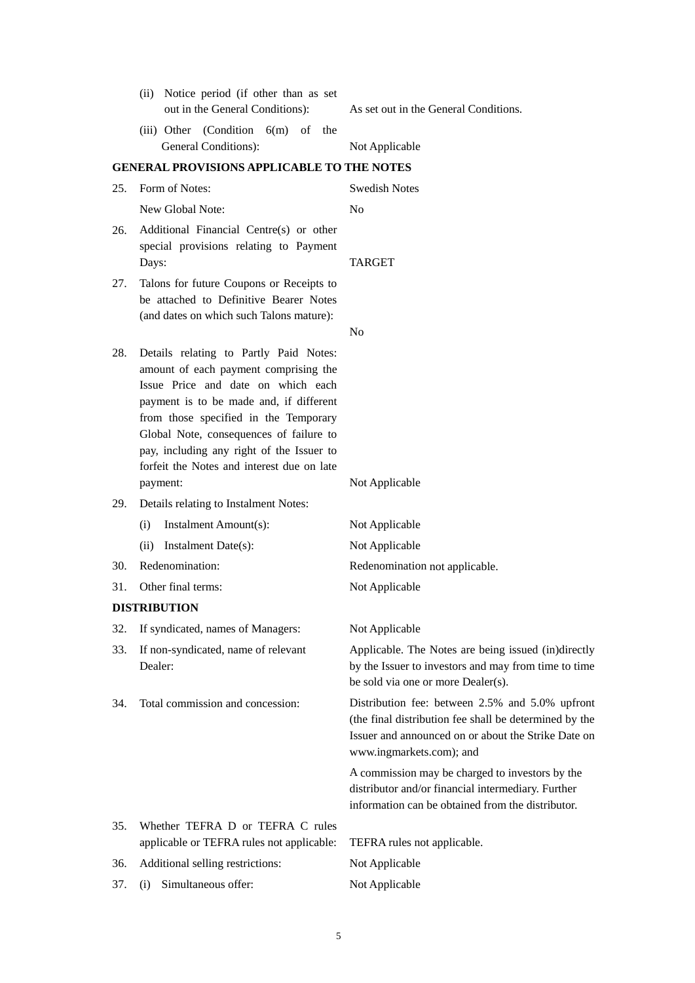|     | Notice period (if other than as set<br>(ii)<br>out in the General Conditions):                                                                                                                                                                                                                                                                              | As set out in the General Conditions.                                                                                                                                                        |
|-----|-------------------------------------------------------------------------------------------------------------------------------------------------------------------------------------------------------------------------------------------------------------------------------------------------------------------------------------------------------------|----------------------------------------------------------------------------------------------------------------------------------------------------------------------------------------------|
|     | (iii) Other (Condition $6(m)$ of the                                                                                                                                                                                                                                                                                                                        |                                                                                                                                                                                              |
|     | General Conditions):                                                                                                                                                                                                                                                                                                                                        | Not Applicable                                                                                                                                                                               |
|     | <b>GENERAL PROVISIONS APPLICABLE TO THE NOTES</b>                                                                                                                                                                                                                                                                                                           |                                                                                                                                                                                              |
| 25. | Form of Notes:                                                                                                                                                                                                                                                                                                                                              | <b>Swedish Notes</b>                                                                                                                                                                         |
|     | New Global Note:                                                                                                                                                                                                                                                                                                                                            | N <sub>o</sub>                                                                                                                                                                               |
| 26. | Additional Financial Centre(s) or other<br>special provisions relating to Payment<br>Days:                                                                                                                                                                                                                                                                  | <b>TARGET</b>                                                                                                                                                                                |
| 27. | Talons for future Coupons or Receipts to<br>be attached to Definitive Bearer Notes<br>(and dates on which such Talons mature):                                                                                                                                                                                                                              |                                                                                                                                                                                              |
|     |                                                                                                                                                                                                                                                                                                                                                             | N <sub>o</sub>                                                                                                                                                                               |
| 28. | Details relating to Partly Paid Notes:<br>amount of each payment comprising the<br>Issue Price and date on which each<br>payment is to be made and, if different<br>from those specified in the Temporary<br>Global Note, consequences of failure to<br>pay, including any right of the Issuer to<br>forfeit the Notes and interest due on late<br>payment: | Not Applicable                                                                                                                                                                               |
| 29. | Details relating to Instalment Notes:                                                                                                                                                                                                                                                                                                                       |                                                                                                                                                                                              |
|     | Instalment Amount(s):<br>(i)                                                                                                                                                                                                                                                                                                                                | Not Applicable                                                                                                                                                                               |
|     | Instalment Date(s):<br>(ii)                                                                                                                                                                                                                                                                                                                                 | Not Applicable                                                                                                                                                                               |
| 30. | Redenomination:                                                                                                                                                                                                                                                                                                                                             | Redenomination not applicable.                                                                                                                                                               |
| 31. | Other final terms:                                                                                                                                                                                                                                                                                                                                          | Not Applicable                                                                                                                                                                               |
|     | <b>DISTRIBUTION</b>                                                                                                                                                                                                                                                                                                                                         |                                                                                                                                                                                              |
| 32. | If syndicated, names of Managers:                                                                                                                                                                                                                                                                                                                           | Not Applicable                                                                                                                                                                               |
| 33. | If non-syndicated, name of relevant<br>Dealer:                                                                                                                                                                                                                                                                                                              | Applicable. The Notes are being issued (in)directly<br>by the Issuer to investors and may from time to time<br>be sold via one or more Dealer(s).                                            |
| 34. | Total commission and concession:                                                                                                                                                                                                                                                                                                                            | Distribution fee: between 2.5% and 5.0% upfront<br>(the final distribution fee shall be determined by the<br>Issuer and announced on or about the Strike Date on<br>www.ingmarkets.com); and |
|     |                                                                                                                                                                                                                                                                                                                                                             | A commission may be charged to investors by the<br>distributor and/or financial intermediary. Further<br>information can be obtained from the distributor.                                   |
| 35. | Whether TEFRA D or TEFRA C rules                                                                                                                                                                                                                                                                                                                            |                                                                                                                                                                                              |
|     | applicable or TEFRA rules not applicable:                                                                                                                                                                                                                                                                                                                   | TEFRA rules not applicable.                                                                                                                                                                  |
| 36. | Additional selling restrictions:                                                                                                                                                                                                                                                                                                                            | Not Applicable                                                                                                                                                                               |
| 37. | Simultaneous offer:<br>(i)                                                                                                                                                                                                                                                                                                                                  | Not Applicable                                                                                                                                                                               |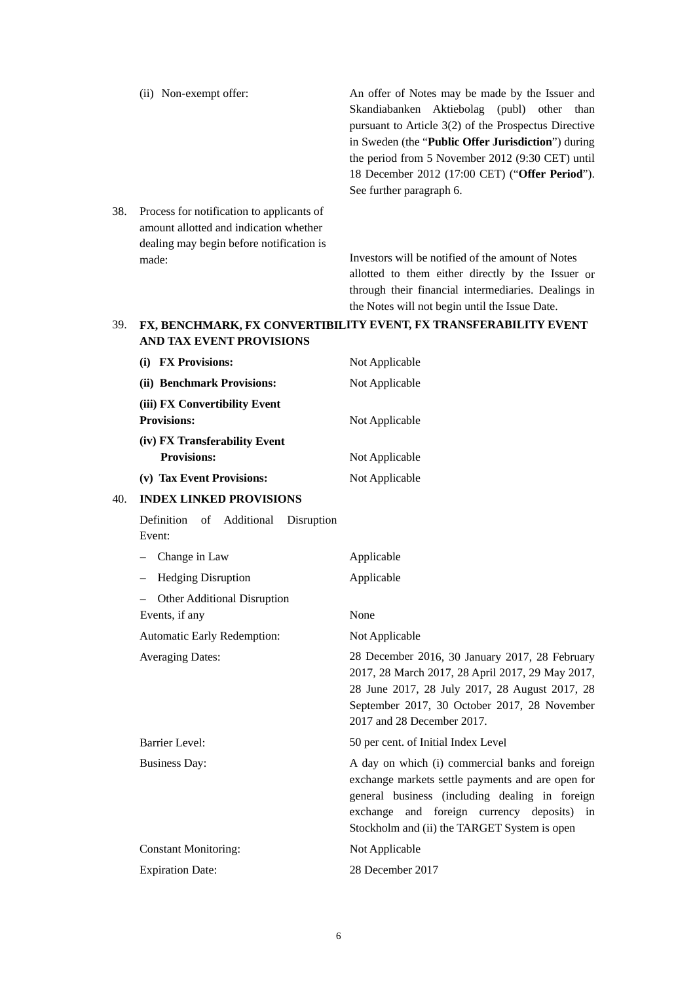|     | (ii) Non-exempt offer:                                                                                                          | An offer of Notes may be made by the Issuer and             |
|-----|---------------------------------------------------------------------------------------------------------------------------------|-------------------------------------------------------------|
|     |                                                                                                                                 | Skandiabanken Aktiebolag (publ) other than                  |
|     |                                                                                                                                 | pursuant to Article $3(2)$ of the Prospectus Directive      |
|     |                                                                                                                                 | in Sweden (the " <b>Public Offer Jurisdiction</b> ") during |
|     |                                                                                                                                 | the period from 5 November 2012 (9:30 CET) until            |
|     |                                                                                                                                 | 18 December 2012 (17:00 CET) ("Offer Period").              |
|     |                                                                                                                                 | See further paragraph 6.                                    |
| 38. | Process for notification to applicants of<br>amount allotted and indication whether<br>dealing may begin before notification is |                                                             |
|     |                                                                                                                                 |                                                             |

Investors will be notified of the amount of Notes allotted to them either directly by the Issuer or through their financial intermediaries. Dealings in the Notes will not begin until the Issue Date.

### **39. FX, BENCHMARK, FX CONVERTIBILITY EVENT, FX TRANSFERABILITY EVENT AND TAX EVENT PROVISIONS**

made:

| (i) FX Provisions:                                  | Not Applicable                                                                                                                                                                                                                                       |
|-----------------------------------------------------|------------------------------------------------------------------------------------------------------------------------------------------------------------------------------------------------------------------------------------------------------|
| (ii) Benchmark Provisions:                          | Not Applicable                                                                                                                                                                                                                                       |
| (iii) FX Convertibility Event<br><b>Provisions:</b> | Not Applicable                                                                                                                                                                                                                                       |
| <b>Provisions:</b>                                  | Not Applicable                                                                                                                                                                                                                                       |
| (v) Tax Event Provisions:                           | Not Applicable                                                                                                                                                                                                                                       |
| <b>INDEX LINKED PROVISIONS</b>                      |                                                                                                                                                                                                                                                      |
| Definition of Additional<br>Disruption<br>Event:    |                                                                                                                                                                                                                                                      |
| Change in Law                                       | Applicable                                                                                                                                                                                                                                           |
| <b>Hedging Disruption</b>                           | Applicable                                                                                                                                                                                                                                           |
| Other Additional Disruption<br>Events, if any       | None                                                                                                                                                                                                                                                 |
| Automatic Early Redemption:                         | Not Applicable                                                                                                                                                                                                                                       |
| <b>Averaging Dates:</b>                             | 28 December 2016, 30 January 2017, 28 February<br>2017, 28 March 2017, 28 April 2017, 29 May 2017,<br>28 June 2017, 28 July 2017, 28 August 2017, 28<br>September 2017, 30 October 2017, 28 November<br>2017 and 28 December 2017.                   |
| <b>Barrier Level:</b>                               | 50 per cent. of Initial Index Level                                                                                                                                                                                                                  |
| <b>Business Day:</b>                                | A day on which (i) commercial banks and foreign<br>exchange markets settle payments and are open for<br>general business (including dealing in foreign<br>exchange and foreign currency deposits) in<br>Stockholm and (ii) the TARGET System is open |
| <b>Constant Monitoring:</b>                         | Not Applicable                                                                                                                                                                                                                                       |
| <b>Expiration Date:</b>                             | 28 December 2017                                                                                                                                                                                                                                     |
|                                                     | (iv) FX Transferability Event                                                                                                                                                                                                                        |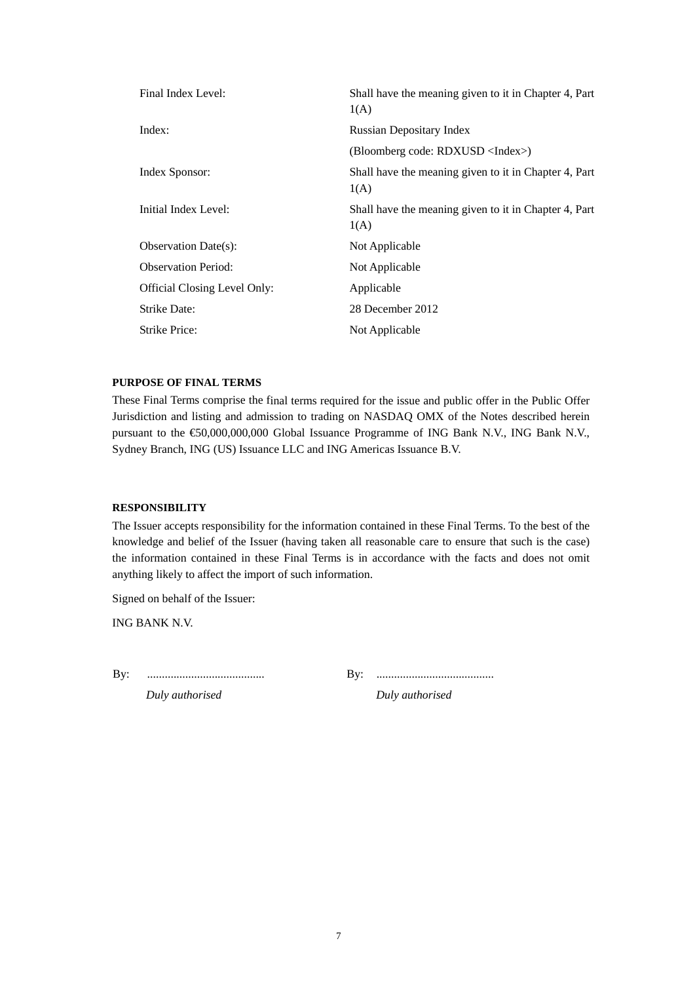| Final Index Level:           | Shall have the meaning given to it in Chapter 4, Part<br>1(A) |
|------------------------------|---------------------------------------------------------------|
| Index:                       | <b>Russian Depositary Index</b>                               |
|                              | (Bloomberg code: RDXUSD <index>)</index>                      |
| Index Sponsor:               | Shall have the meaning given to it in Chapter 4, Part<br>1(A) |
| Initial Index Level:         | Shall have the meaning given to it in Chapter 4, Part<br>1(A) |
| Observation Date $(s)$ :     | Not Applicable                                                |
| <b>Observation Period:</b>   | Not Applicable                                                |
| Official Closing Level Only: | Applicable                                                    |
| Strike Date:                 | 28 December 2012                                              |
| Strike Price:                | Not Applicable                                                |

### **PURPOSE OF FINAL TERMS**

These Final Terms comprise the final terms required for the issue and public offer in the Public Offer Jurisdiction and listing and admission to trading on NASDAQ OMX of the Notes described herein pursuant to the €50,000,000,000 Global Issuance Programme of ING Bank N.V., ING Bank N.V., Sydney Branch, ING (US) Issuance LLC and ING Americas Issuance B.V.

## **RESPONSIBILITY**

The Issuer accepts responsibility for the information contained in these Final Terms. To the best of the knowledge and belief of the Issuer (having taken all reasonable care to ensure that such is the case) the information contained in these Final Terms is in accordance with the facts and does not omit anything likely to affect the import of such information.

Signed on behalf of the Issuer:

ING BANK N.V.

By: ........................................ By: ........................................

*Duly authorised Duly authorised*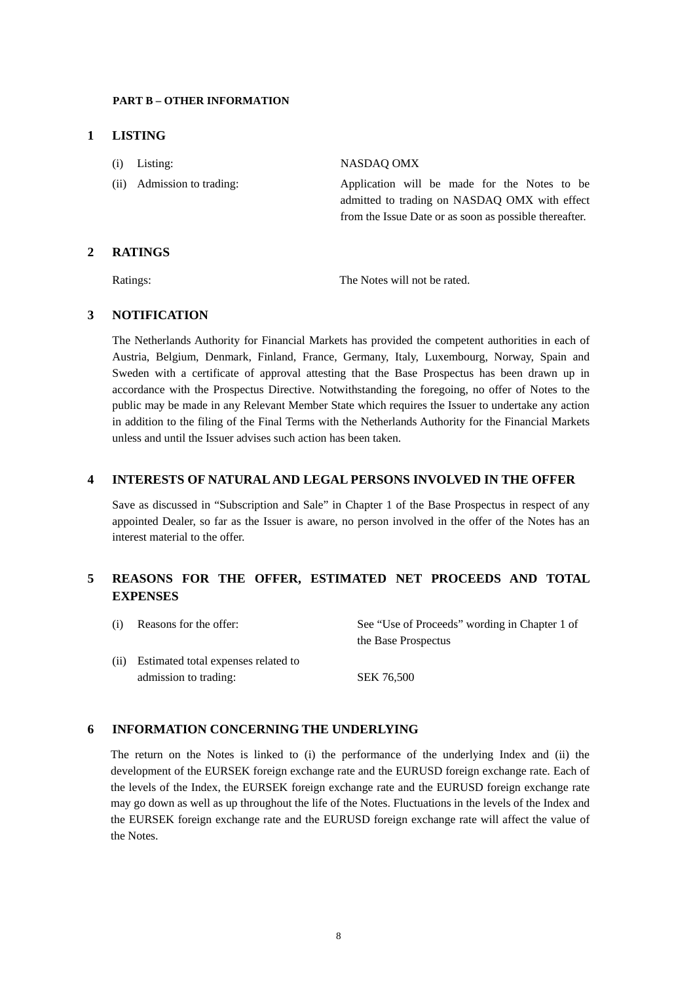#### **PART B – OTHER INFORMATION**

### **1 LISTING**

| $(i)$ Listing:             | NASDAO OMX                                                                                                                                              |
|----------------------------|---------------------------------------------------------------------------------------------------------------------------------------------------------|
| (ii) Admission to trading: | Application will be made for the Notes to be<br>admitted to trading on NASDAO OMX with effect<br>from the Issue Date or as soon as possible thereafter. |

## **2 RATINGS**

Ratings: The Notes will not be rated.

# **3 NOTIFICATION**

The Netherlands Authority for Financial Markets has provided the competent authorities in each of Austria, Belgium, Denmark, Finland, France, Germany, Italy, Luxembourg, Norway, Spain and Sweden with a certificate of approval attesting that the Base Prospectus has been drawn up in accordance with the Prospectus Directive. Notwithstanding the foregoing, no offer of Notes to the public may be made in any Relevant Member State which requires the Issuer to undertake any action in addition to the filing of the Final Terms with the Netherlands Authority for the Financial Markets unless and until the Issuer advises such action has been taken.

## **4 INTERESTS OF NATURAL AND LEGAL PERSONS INVOLVED IN THE OFFER**

Save as discussed in "Subscription and Sale" in Chapter 1 of the Base Prospectus in respect of any appointed Dealer, so far as the Issuer is aware, no person involved in the offer of the Notes has an interest material to the offer.

# **5 REASONS FOR THE OFFER, ESTIMATED NET PROCEEDS AND TOTAL EXPENSES**

| (i) | Reasons for the offer:                   | See "Use of Proceeds" wording in Chapter 1 of<br>the Base Prospectus |
|-----|------------------------------------------|----------------------------------------------------------------------|
|     | (ii) Estimated total expenses related to |                                                                      |
|     | admission to trading:                    | SEK 76.500                                                           |

## **6 INFORMATION CONCERNING THE UNDERLYING**

The return on the Notes is linked to (i) the performance of the underlying Index and (ii) the development of the EURSEK foreign exchange rate and the EURUSD foreign exchange rate. Each of the levels of the Index, the EURSEK foreign exchange rate and the EURUSD foreign exchange rate may go down as well as up throughout the life of the Notes. Fluctuations in the levels of the Index and the EURSEK foreign exchange rate and the EURUSD foreign exchange rate will affect the value of the Notes.